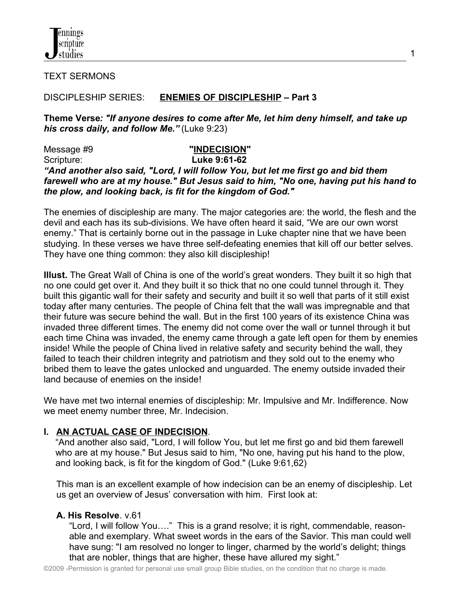

TEXT SERMONS

# DISCIPLESHIP SERIES: **ENEMIES OF DISCIPLESHIP – Part 3**

**Theme Verse***: "If anyone desires to come after Me, let him deny himself, and take up his cross daily, and follow Me."* (Luke 9:23)

1

Message #9 **"INDECISION"** Scripture: **Luke 9:61-62**  *"And another also said, "Lord, I will follow You, but let me first go and bid them farewell who are at my house." But Jesus said to him, "No one, having put his hand to the plow, and looking back, is fit for the kingdom of God."* 

The enemies of discipleship are many. The major categories are: the world, the flesh and the devil and each has its sub-divisions. We have often heard it said, "We are our own worst enemy." That is certainly borne out in the passage in Luke chapter nine that we have been studying. In these verses we have three self-defeating enemies that kill off our better selves. They have one thing common: they also kill discipleship!

**Illust.** The Great Wall of China is one of the world's great wonders. They built it so high that no one could get over it. And they built it so thick that no one could tunnel through it. They built this gigantic wall for their safety and security and built it so well that parts of it still exist today after many centuries. The people of China felt that the wall was impregnable and that their future was secure behind the wall. But in the first 100 years of its existence China was invaded three different times. The enemy did not come over the wall or tunnel through it but each time China was invaded, the enemy came through a gate left open for them by enemies inside! While the people of China lived in relative safety and security behind the wall, they failed to teach their children integrity and patriotism and they sold out to the enemy who bribed them to leave the gates unlocked and unguarded. The enemy outside invaded their land because of enemies on the inside!

We have met two internal enemies of discipleship: Mr. Impulsive and Mr. Indifference. Now we meet enemy number three, Mr. Indecision.

### **I. AN ACTUAL CASE OF INDECISION**.

"And another also said, "Lord, I will follow You, but let me first go and bid them farewell who are at my house." But Jesus said to him, "No one, having put his hand to the plow, and looking back, is fit for the kingdom of God." (Luke 9:61,62)

This man is an excellent example of how indecision can be an enemy of discipleship. Let us get an overview of Jesus' conversation with him. First look at:

#### **A. His Resolve**. v.61

 "Lord, I will follow You…." This is a grand resolve; it is right, commendable, reason able and exemplary. What sweet words in the ears of the Savior. This man could well have sung: "I am resolved no longer to linger, charmed by the world's delight; things that are nobler, things that are higher, these have allured my sight."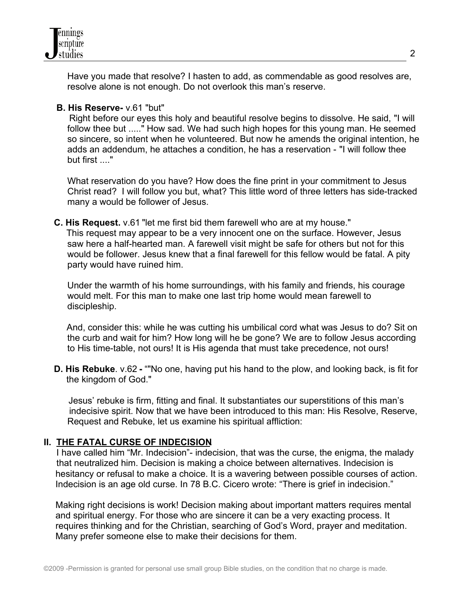

Have you made that resolve? I hasten to add, as commendable as good resolves are, resolve alone is not enough. Do not overlook this man's reserve.

#### **B. His Reserve-** v.61 "but"

 Right before our eyes this holy and beautiful resolve begins to dissolve. He said, "I will follow thee but ....." How sad. We had such high hopes for this young man. He seemed so sincere, so intent when he volunteered. But now he amends the original intention, he adds an addendum, he attaches a condition, he has a reservation - "I will follow thee but first ...."

What reservation do you have? How does the fine print in your commitment to Jesus Christ read? I will follow you but, what? This little word of three letters has side-tracked many a would be follower of Jesus.

**C. His Request.** v.61 "let me first bid them farewell who are at my house."

 This request may appear to be a very innocent one on the surface. However, Jesus saw here a half-hearted man. A farewell visit might be safe for others but not for this would be follower. Jesus knew that a final farewell for this fellow would be fatal. A pity party would have ruined him.

Under the warmth of his home surroundings, with his family and friends, his courage would melt. For this man to make one last trip home would mean farewell to discipleship.

 And, consider this: while he was cutting his umbilical cord what was Jesus to do? Sit on the curb and wait for him? How long will he be gone? We are to follow Jesus according to His time-table, not ours! It is His agenda that must take precedence, not ours!

 **D. His Rebuke**. v.62 **-** ""No one, having put his hand to the plow, and looking back, is fit for the kingdom of God."

Jesus' rebuke is firm, fitting and final. It substantiates our superstitions of this man's indecisive spirit. Now that we have been introduced to this man: His Resolve, Reserve, Request and Rebuke, let us examine his spiritual affliction:

#### **II. THE FATAL CURSE OF INDECISION**.

 I have called him "Mr. Indecision"- indecision, that was the curse, the enigma, the malady that neutralized him. Decision is making a choice between alternatives. Indecision is hesitancy or refusal to make a choice. It is a wavering between possible courses of action. Indecision is an age old curse. In 78 B.C. Cicero wrote: "There is grief in indecision."

Making right decisions is work! Decision making about important matters requires mental and spiritual energy. For those who are sincere it can be a very exacting process. It requires thinking and for the Christian, searching of God's Word, prayer and meditation. Many prefer someone else to make their decisions for them.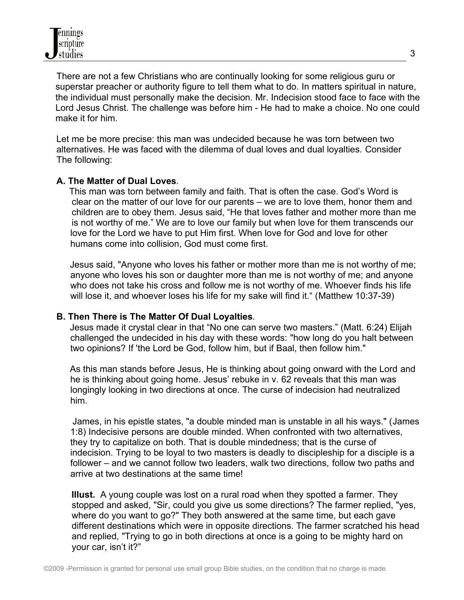There are not a few Christians who are continually looking for some religious guru or superstar preacher or authority figure to tell them what to do. In matters spiritual in nature, the individual must personally make the decision. Mr. Indecision stood face to face with the Lord Jesus Christ. The challenge was before him - He had to make a choice. No one could make it for him.

 Let me be more precise: this man was undecided because he was torn between two alternatives. He was faced with the dilemma of dual loves and dual loyalties. Consider The following:

### **A. The Matter of Dual Loves**.

 This man was torn between family and faith. That is often the case. God's Word is clear on the matter of our love for our parents – we are to love them, honor them and children are to obey them. Jesus said, "He that loves father and mother more than me is not worthy of me." We are to love our family but when love for them transcends our love for the Lord we have to put Him first. When love for God and love for other humans come into collision, God must come first.

 Jesus said, "Anyone who loves his father or mother more than me is not worthy of me; anyone who loves his son or daughter more than me is not worthy of me; and anyone who does not take his cross and follow me is not worthy of me. Whoever finds his life will lose it, and whoever loses his life for my sake will find it." (Matthew 10:37-39)

### **B. Then There is The Matter Of Dual Loyalties**.

 Jesus made it crystal clear in that "No one can serve two masters." (Matt. 6:24) Elijah challenged the undecided in his day with these words: "how long do you halt between two opinions? If 'the Lord be God, follow him, but if Baal, then follow him."

 As this man stands before Jesus, He is thinking about going onward with the Lord and he is thinking about going home. Jesus' rebuke in v. 62 reveals that this man was longingly looking in two directions at once. The curse of indecision had neutralized him.

 James, in his epistle states, "a double minded man is unstable in all his ways." (James 1:8) Indecisive persons are double minded. When confronted with two alternatives, they try to capitalize on both. That is double mindedness; that is the curse of indecision. Trying to be loyal to two masters is deadly to discipleship for a disciple is a follower – and we cannot follow two leaders, walk two directions, follow two paths and arrive at two destinations at the same time!

 **Illust.** A young couple was lost on a rural road when they spotted a farmer. They stopped and asked, "Sir, could you give us some directions? The farmer replied, "yes, where do you want to go?" They both answered at the same time, but each gave different destinations which were in opposite directions. The farmer scratched his head and replied, "Trying to go in both directions at once is a going to be mighty hard on your car, isn't it?"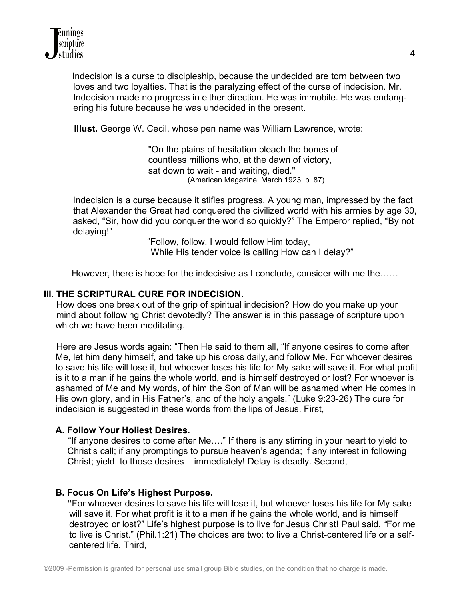Indecision is a curse to discipleship, because the undecided are torn between two loves and two loyalties. That is the paralyzing effect of the curse of indecision. Mr. Indecision made no progress in either direction. He was immobile. He was endangering his future because he was undecided in the present.

**Illust.** George W. Cecil, whose pen name was William Lawrence, wrote:

 "On the plains of hesitation bleach the bones of countless millions who, at the dawn of victory, sat down to wait - and waiting, died." (American Magazine, March 1923, p. 87)

 Indecision is a curse because it stifles progress. A young man, impressed by the fact that Alexander the Great had conquered the civilized world with his armies by age 30, asked, "Sir, how did you conquer the world so quickly?" The Emperor replied, "By not delaying!"

> "Follow, follow, I would follow Him today, While His tender voice is calling How can I delay?"

However, there is hope for the indecisive as I conclude, consider with me the……

### **III. THE SCRIPTURAL CURE FOR INDECISION.**

 How does one break out of the grip of spiritual indecision? How do you make up your mind about following Christ devotedly? The answer is in this passage of scripture upon which we have been meditating.

 Here are Jesus words again: "Then He said to them all, "If anyone desires to come after Me, let him deny himself, and take up his cross daily, and follow Me. For whoever desires to save his life will lose it, but whoever loses his life for My sake will save it. For what profit is it to a man if he gains the whole world, and is himself destroyed or lost? For whoever is ashamed of Me and My words, of him the Son of Man will be ashamed when He comes in His own glory, and in His Father's, and of the holy angels.´ (Luke 9:23-26) The cure for indecision is suggested in these words from the lips of Jesus. First,

### **A. Follow Your Holiest Desires.**

"If anyone desires to come after Me…." If there is any stirring in your heart to yield to Christ's call; if any promptings to pursue heaven's agenda; if any interest in following Christ; yield to those desires – immediately! Delay is deadly. Second,

### **B. Focus On Life's Highest Purpose.**

**"**For whoever desires to save his life will lose it, but whoever loses his life for My sake will save it. For what profit is it to a man if he gains the whole world, and is himself destroyed or lost?" Life's highest purpose is to live for Jesus Christ! Paul said, *"*For me to live is Christ." (Phil.1:21) The choices are two: to live a Christ-centered life or a self centered life. Third,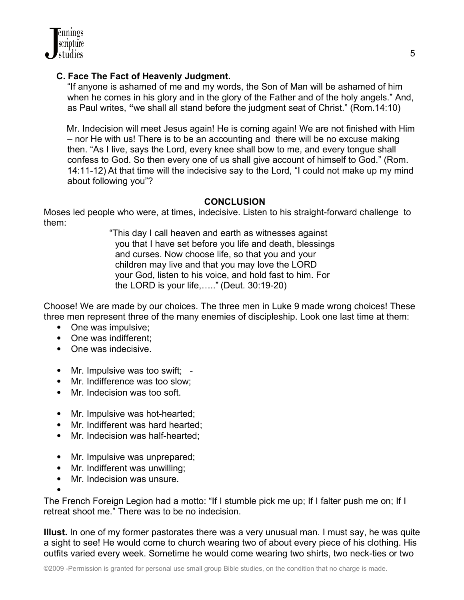# **C. Face The Fact of Heavenly Judgment.**

"If anyone is ashamed of me and my words, the Son of Man will be ashamed of him when he comes in his glory and in the glory of the Father and of the holy angels." And, as Paul writes, **"**we shall all stand before the judgment seat of Christ." (Rom.14:10)

 Mr. Indecision will meet Jesus again! He is coming again! We are not finished with Him – nor He with us! There is to be an accounting and there will be no excuse making then. "As I live, says the Lord, every knee shall bow to me, and every tongue shall confess to God. So then every one of us shall give account of himself to God." (Rom. 14:11-12) At that time will the indecisive say to the Lord, "I could not make up my mind about following you"?

## **CONCLUSION**

Moses led people who were, at times, indecisive. Listen to his straight-forward challenge to them:

> "This day I call heaven and earth as witnesses against you that I have set before you life and death, blessings and curses. Now choose life, so that you and your children may live and that you may love the LORD your God, listen to his voice, and hold fast to him. For the LORD is your life,….." (Deut. 30:19-20)

Choose! We are made by our choices. The three men in Luke 9 made wrong choices! These three men represent three of the many enemies of discipleship. Look one last time at them:

- One was impulsive;
- One was indifferent:
- One was indecisive.
- Mr. Impulsive was too swift; -
- Mr. Indifference was too slow:
- Mr. Indecision was too soft.
- Mr. Impulsive was hot-hearted;
- Mr. Indifferent was hard hearted;
- Mr. Indecision was half-hearted;
- Mr. Impulsive was unprepared;
- Mr. Indifferent was unwilling:
- Mr. Indecision was unsure.
- $\bullet$

The French Foreign Legion had a motto: "If I stumble pick me up; If I falter push me on; If I retreat shoot me." There was to be no indecision.

**Illust.** In one of my former pastorates there was a very unusual man. I must say, he was quite a sight to see! He would come to church wearing two of about every piece of his clothing. His outfits varied every week. Sometime he would come wearing two shirts, two neck-ties or two